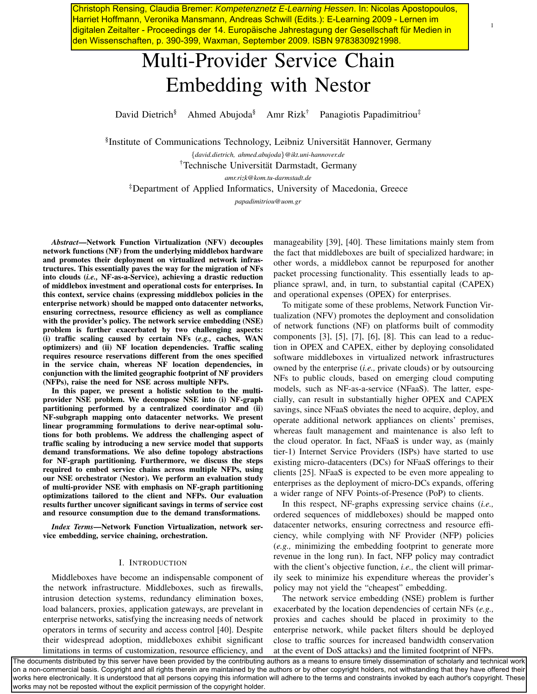Christoph Rensing, Claudia Bremer: *Kompetenznetz E-Learning Hessen*. In: Nicolas Apostopoulos, Harriet Hoffmann, Veronika Mansmann, Andreas Schwill (Edits.): E-Learning 2009 - Lernen im digitalen Zeitalter - Proceedings der 14. Europäische Jahrestagung der Gesellschaft für Medien in den Wissenschaften, p. 390-399, Waxman, September 2009. ISBN 9783830921998.

# Multi-Provider Service Chain Embedding with Nestor

David Dietrich<sup>§</sup> Ahmed Abujoda<sup>§</sup> Amr Rizk<sup>†</sup> Panagiotis Papadimitriou<sup>‡</sup>

§Institute of Communications Technology, Leibniz Universität Hannover, Germany

{*david.dietrich, ahmed.abujoda*}*@ikt.uni-hannover.de* †Technische Universität Darmstadt, Germany

*amr.rizk@kom.tu-darmstadt.de*

‡Department of Applied Informatics, University of Macedonia, Greece

*papadimitriou@uom.gr*

*Abstract*—Network Function Virtualization (NFV) decouples network functions (NF) from the underlying middlebox hardware and promotes their deployment on virtualized network infrastructures. This essentially paves the way for the migration of NFs into clouds (*i.e.,* NF-as-a-Service), achieving a drastic reduction of middlebox investment and operational costs for enterprises. In this context, service chains (expressing middlebox policies in the enterprise network) should be mapped onto datacenter networks, ensuring correctness, resource efficiency as well as compliance with the provider's policy. The network service embedding (NSE) problem is further exacerbated by two challenging aspects: (i) traffic scaling caused by certain NFs (*e.g.,* caches, WAN optimizers) and (ii) NF location dependencies. Traffic scaling requires resource reservations different from the ones specified in the service chain, whereas NF location dependencies, in conjunction with the limited geographic footprint of NF providers (NFPs), raise the need for NSE across multiple NFPs.

In this paper, we present a holistic solution to the multiprovider NSE problem. We decompose NSE into (i) NF-graph partitioning performed by a centralized coordinator and (ii) NF-subgraph mapping onto datacenter networks. We present linear programming formulations to derive near-optimal solutions for both problems. We address the challenging aspect of traffic scaling by introducing a new service model that supports demand transformations. We also define topology abstractions for NF-graph partitioning. Furthermore, we discuss the steps required to embed service chains across multiple NFPs, using our NSE orchestrator (Nestor). We perform an evaluation study of multi-provider NSE with emphasis on NF-graph partitioning optimizations tailored to the client and NFPs. Our evaluation results further uncover significant savings in terms of service cost and resource consumption due to the demand transformations.

*Index Terms*—Network Function Virtualization, network service embedding, service chaining, orchestration.

## I. INTRODUCTION

Middleboxes have become an indispensable component of the network infrastructure. Middleboxes, such as firewalls, intrusion detection systems, redundancy elimination boxes, load balancers, proxies, application gateways, are prevelant in enterprise networks, satisfying the increasing needs of network operators in terms of security and access control [40]. Despite their widespread adoption, middleboxes exhibit significant limitations in terms of customization, resource efficiency, and

manageability [39], [40]. These limitations mainly stem from the fact that middleboxes are built of specialized hardware; in other words, a middlebox cannot be repurposed for another packet processing functionality. This essentially leads to appliance sprawl, and, in turn, to substantial capital (CAPEX) and operational expenses (OPEX) for enterprises.

1

To mitigate some of these problems, Network Function Virtualization (NFV) promotes the deployment and consolidation of network functions (NF) on platforms built of commodity components  $[3]$ ,  $[5]$ ,  $[7]$ ,  $[6]$ ,  $[8]$ . This can lead to a reduction in OPEX and CAPEX, either by deploying consolidated software middleboxes in virtualized network infrastructures owned by the enterprise (*i.e.,* private clouds) or by outsourcing NFs to public clouds, based on emerging cloud computing models, such as NF-as-a-service (NFaaS). The latter, especially, can result in substantially higher OPEX and CAPEX savings, since NFaaS obviates the need to acquire, deploy, and operate additional network appliances on clients' premises, whereas fault management and maintenance is also left to the cloud operator. In fact, NFaaS is under way, as (mainly tier-1) Internet Service Providers (ISPs) have started to use existing micro-datacenters (DCs) for NFaaS offerings to their clients [25]. NFaaS is expected to be even more appealing to enterprises as the deployment of micro-DCs expands, offering a wider range of NFV Points-of-Presence (PoP) to clients.

In this respect, NF-graphs expressing service chains (*i.e.,* ordered sequences of middleboxes) should be mapped onto datacenter networks, ensuring correctness and resource efficiency, while complying with NF Provider (NFP) policies (*e.g.,* minimizing the embedding footprint to generate more revenue in the long run). In fact, NFP policy may contradict with the client's objective function, *i.e.,* the client will primarily seek to minimize his expenditure whereas the provider's policy may not yield the "cheapest" embedding.

The network service embedding (NSE) problem is further exacerbated by the location dependencies of certain NFs (*e.g.,* proxies and caches should be placed in proximity to the enterprise network, while packet filters should be deployed close to traffic sources for increased bandwidth conservation at the event of DoS attacks) and the limited footprint of NFPs.

The documents distributed by this server have been provided by the contributing authors as a means to ensure timely dissemination of scholarly and technical work on a non-commercial basis. Copyright and all rights therein are maintained by the authors or by other copyright holders, not withstanding that they have offered their works here electronically. It is understood that all persons copying this information will adhere to the terms and constraints invoked by each author's copyright. These works may not be reposted without the explicit permission of the copyright holder.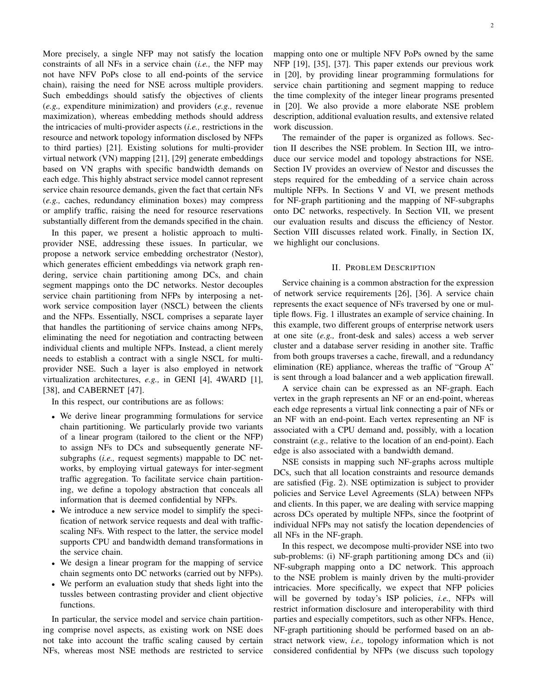More precisely, a single NFP may not satisfy the location constraints of all NFs in a service chain (*i.e.,* the NFP may not have NFV PoPs close to all end-points of the service chain), raising the need for NSE across multiple providers. Such embeddings should satisfy the objectives of clients (*e.g.,* expenditure minimization) and providers (*e.g.,* revenue maximization), whereas embedding methods should address the intricacies of multi-provider aspects (*i.e.,* restrictions in the resource and network topology information disclosed by NFPs to third parties) [21]. Existing solutions for multi-provider virtual network (VN) mapping [21], [29] generate embeddings based on VN graphs with specific bandwidth demands on each edge. This highly abstract service model cannot represent service chain resource demands, given the fact that certain NFs (*e.g.,* caches, redundancy elimination boxes) may compress or amplify traffic, raising the need for resource reservations substantially different from the demands specified in the chain.

In this paper, we present a holistic approach to multiprovider NSE, addressing these issues. In particular, we propose a network service embedding orchestrator (Nestor), which generates efficient embeddings via network graph rendering, service chain partitioning among DCs, and chain segment mappings onto the DC networks. Nestor decouples service chain partitioning from NFPs by interposing a network service composition layer (NSCL) between the clients and the NFPs. Essentially, NSCL comprises a separate layer that handles the partitioning of service chains among NFPs, eliminating the need for negotiation and contracting between individual clients and multiple NFPs. Instead, a client merely needs to establish a contract with a single NSCL for multiprovider NSE. Such a layer is also employed in network virtualization architectures, *e.g.,* in GENI [4], 4WARD [1], [38], and CABERNET [47].

In this respect, our contributions are as follows:

- We derive linear programming formulations for service chain partitioning. We particularly provide two variants of a linear program (tailored to the client or the NFP) to assign NFs to DCs and subsequently generate NFsubgraphs (*i.e.,* request segments) mappable to DC networks, by employing virtual gateways for inter-segment traffic aggregation. To facilitate service chain partitioning, we define a topology abstraction that conceals all information that is deemed confidential by NFPs.
- We introduce a new service model to simplify the specification of network service requests and deal with trafficscaling NFs. With respect to the latter, the service model supports CPU and bandwidth demand transformations in the service chain.
- We design a linear program for the mapping of service chain segments onto DC networks (carried out by NFPs).
- We perform an evaluation study that sheds light into the tussles between contrasting provider and client objective functions.

In particular, the service model and service chain partitioning comprise novel aspects, as existing work on NSE does not take into account the traffic scaling caused by certain NFs, whereas most NSE methods are restricted to service mapping onto one or multiple NFV PoPs owned by the same NFP [19], [35], [37]. This paper extends our previous work in [20], by providing linear programming formulations for service chain partitioning and segment mapping to reduce the time complexity of the integer linear programs presented in [20]. We also provide a more elaborate NSE problem description, additional evaluation results, and extensive related work discussion.

The remainder of the paper is organized as follows. Section II describes the NSE problem. In Section III, we introduce our service model and topology abstractions for NSE. Section IV provides an overview of Nestor and discusses the steps required for the embedding of a service chain across multiple NFPs. In Sections V and VI, we present methods for NF-graph partitioning and the mapping of NF-subgraphs onto DC networks, respectively. In Section VII, we present our evaluation results and discuss the efficiency of Nestor. Section VIII discusses related work. Finally, in Section IX, we highlight our conclusions.

#### II. PROBLEM DESCRIPTION

Service chaining is a common abstraction for the expression of network service requirements [26], [36]. A service chain represents the exact sequence of NFs traversed by one or multiple flows. Fig. 1 illustrates an example of service chaining. In this example, two different groups of enterprise network users at one site (*e.g.,* front-desk and sales) access a web server cluster and a database server residing in another site. Traffic from both groups traverses a cache, firewall, and a redundancy elimination (RE) appliance, whereas the traffic of "Group A" is sent through a load balancer and a web application firewall.

A service chain can be expressed as an NF-graph. Each vertex in the graph represents an NF or an end-point, whereas each edge represents a virtual link connecting a pair of NFs or an NF with an end-point. Each vertex representing an NF is associated with a CPU demand and, possibly, with a location constraint (*e.g.,* relative to the location of an end-point). Each edge is also associated with a bandwidth demand.

NSE consists in mapping such NF-graphs across multiple DCs, such that all location constraints and resource demands are satisfied (Fig. 2). NSE optimization is subject to provider policies and Service Level Agreements (SLA) between NFPs and clients. In this paper, we are dealing with service mapping across DCs operated by multiple NFPs, since the footprint of individual NFPs may not satisfy the location dependencies of all NFs in the NF-graph.

In this respect, we decompose multi-provider NSE into two sub-problems: (i) NF-graph partitioning among DCs and (ii) NF-subgraph mapping onto a DC network. This approach to the NSE problem is mainly driven by the multi-provider intricacies. More specifically, we expect that NFP policies will be governed by today's ISP policies, *i.e.,* NFPs will restrict information disclosure and interoperability with third parties and especially competitors, such as other NFPs. Hence, NF-graph partitioning should be performed based on an abstract network view, *i.e.,* topology information which is not considered confidential by NFPs (we discuss such topology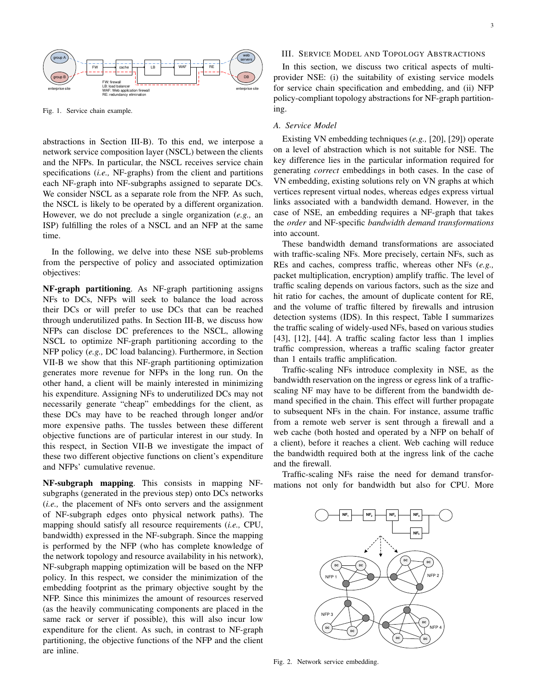

Fig. 1. Service chain example.

abstractions in Section III-B). To this end, we interpose a network service composition layer (NSCL) between the clients and the NFPs. In particular, the NSCL receives service chain specifications (*i.e.,* NF-graphs) from the client and partitions each NF-graph into NF-subgraphs assigned to separate DCs. We consider NSCL as a separate role from the NFP. As such, the NSCL is likely to be operated by a different organization. However, we do not preclude a single organization (*e.g.,* an ISP) fulfilling the roles of a NSCL and an NFP at the same time.

In the following, we delve into these NSE sub-problems from the perspective of policy and associated optimization objectives:

NF-graph partitioning. As NF-graph partitioning assigns NFs to DCs, NFPs will seek to balance the load across their DCs or will prefer to use DCs that can be reached through underutilized paths. In Section III-B, we discuss how NFPs can disclose DC preferences to the NSCL, allowing NSCL to optimize NF-graph partitioning according to the NFP policy (*e.g.,* DC load balancing). Furthermore, in Section VII-B we show that this NF-graph partitioning optimization generates more revenue for NFPs in the long run. On the other hand, a client will be mainly interested in minimizing his expenditure. Assigning NFs to underutilized DCs may not necessarily generate "cheap" embeddings for the client, as these DCs may have to be reached through longer and/or more expensive paths. The tussles between these different objective functions are of particular interest in our study. In this respect, in Section VII-B we investigate the impact of these two different objective functions on client's expenditure and NFPs' cumulative revenue.

NF-subgraph mapping. This consists in mapping NFsubgraphs (generated in the previous step) onto DCs networks (*i.e.,* the placement of NFs onto servers and the assignment of NF-subgraph edges onto physical network paths). The mapping should satisfy all resource requirements (*i.e.,* CPU, bandwidth) expressed in the NF-subgraph. Since the mapping is performed by the NFP (who has complete knowledge of the network topology and resource availability in his network), NF-subgraph mapping optimization will be based on the NFP policy. In this respect, we consider the minimization of the embedding footprint as the primary objective sought by the NFP. Since this minimizes the amount of resources reserved (as the heavily communicating components are placed in the same rack or server if possible), this will also incur low expenditure for the client. As such, in contrast to NF-graph partitioning, the objective functions of the NFP and the client are inline.

# III. SERVICE MODEL AND TOPOLOGY ABSTRACTIONS

In this section, we discuss two critical aspects of multiprovider NSE: (i) the suitability of existing service models for service chain specification and embedding, and (ii) NFP policy-compliant topology abstractions for NF-graph partitioning.

## *A. Service Model*

Existing VN embedding techniques (*e.g.,* [20], [29]) operate on a level of abstraction which is not suitable for NSE. The key difference lies in the particular information required for generating *correct* embeddings in both cases. In the case of VN embedding, existing solutions rely on VN graphs at which vertices represent virtual nodes, whereas edges express virtual links associated with a bandwidth demand. However, in the case of NSE, an embedding requires a NF-graph that takes the *order* and NF-specific *bandwidth demand transformations* into account.

These bandwidth demand transformations are associated with traffic-scaling NFs. More precisely, certain NFs, such as REs and caches, compress traffic, whereas other NFs (*e.g.,* packet multiplication, encryption) amplify traffic. The level of traffic scaling depends on various factors, such as the size and hit ratio for caches, the amount of duplicate content for RE, and the volume of traffic filtered by firewalls and intrusion detection systems (IDS). In this respect, Table I summarizes the traffic scaling of widely-used NFs, based on various studies [43], [12], [44]. A traffic scaling factor less than 1 implies traffic compression, whereas a traffic scaling factor greater than 1 entails traffic amplification.

Traffic-scaling NFs introduce complexity in NSE, as the bandwidth reservation on the ingress or egress link of a trafficscaling NF may have to be different from the bandwidth demand specified in the chain. This effect will further propagate to subsequent NFs in the chain. For instance, assume traffic from a remote web server is sent through a firewall and a web cache (both hosted and operated by a NFP on behalf of a client), before it reaches a client. Web caching will reduce the bandwidth required both at the ingress link of the cache and the firewall.

Traffic-scaling NFs raise the need for demand transformations not only for bandwidth but also for CPU. More



Fig. 2. Network service embedding.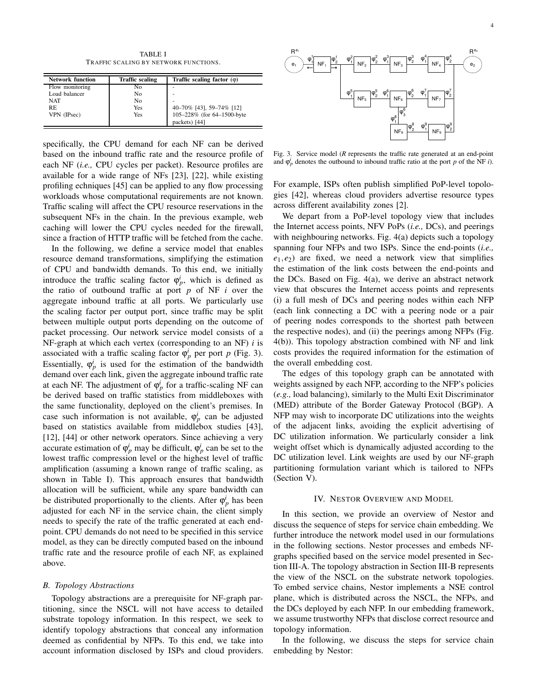TABLE I TRAFFIC SCALING BY NETWORK FUNCTIONS.

| <b>Network function</b> | <b>Traffic scaling</b> | Traffic scaling factor $(\varphi)$ |
|-------------------------|------------------------|------------------------------------|
| Flow monitoring         | Nο                     |                                    |
| Load balancer           | No                     |                                    |
| <b>NAT</b>              | No                     |                                    |
| RF.                     | Yes                    | 40-70% [43], 59-74% [12]           |
| VPN (IPsec)             | Yes                    | 105-228% (for 64-1500-byte         |
|                         |                        | packets) [44]                      |

specifically, the CPU demand for each NF can be derived based on the inbound traffic rate and the resource profile of each NF (*i.e.,* CPU cycles per packet). Resource profiles are available for a wide range of NFs [23], [22], while existing profiling echniques [45] can be applied to any flow processing workloads whose computational requirements are not known. Traffic scaling will affect the CPU resource reservations in the subsequent NFs in the chain. In the previous example, web caching will lower the CPU cycles needed for the firewall, since a fraction of HTTP traffic will be fetched from the cache.

In the following, we define a service model that enables resource demand transformations, simplifying the estimation of CPU and bandwidth demands. To this end, we initially introduce the traffic scaling factor  $\varphi_p^i$ , which is defined as the ratio of outbound traffic at port *p* of NF *i* over the aggregate inbound traffic at all ports. We particularly use the scaling factor per output port, since traffic may be split between multiple output ports depending on the outcome of packet processing. Our network service model consists of a NF-graph at which each vertex (corresponding to an NF) *i* is associated with a traffic scaling factor  $\varphi_p^i$  per port *p* (Fig. 3). Essentially,  $\varphi_p^i$  is used for the estimation of the bandwidth demand over each link, given the aggregate inbound traffic rate at each NF. The adjustment of  $\varphi_p^i$  for a traffic-scaling NF can be derived based on traffic statistics from middleboxes with the same functionality, deployed on the client's premises. In case such information is not available,  $\varphi_p^i$  can be adjusted based on statistics available from middlebox studies [43], [12], [44] or other network operators. Since achieving a very accurate estimation of  $\varphi_p^i$  may be difficult,  $\varphi_p^i$  can be set to the lowest traffic compression level or the highest level of traffic amplification (assuming a known range of traffic scaling, as shown in Table I). This approach ensures that bandwidth allocation will be sufficient, while any spare bandwidth can be distributed proportionally to the clients. After  $\varphi_p^i$  has been adjusted for each NF in the service chain, the client simply needs to specify the rate of the traffic generated at each endpoint. CPU demands do not need to be specified in this service model, as they can be directly computed based on the inbound traffic rate and the resource profile of each NF, as explained above.

#### *B. Topology Abstractions*

Topology abstractions are a prerequisite for NF-graph partitioning, since the NSCL will not have access to detailed substrate topology information. In this respect, we seek to identify topology abstractions that conceal any information deemed as confidential by NFPs. To this end, we take into account information disclosed by ISPs and cloud providers.



Fig. 3. Service model (*R* represents the traffic rate generated at an end-point and  $\varphi_p^i$  denotes the outbound to inbound traffic ratio at the port *p* of the NF *i*).

For example, ISPs often publish simplified PoP-level topologies [42], whereas cloud providers advertise resource types across different availability zones [2].

We depart from a PoP-level topology view that includes the Internet access points, NFV PoPs (*i.e.,* DCs), and peerings with neighbouring networks. Fig. 4(a) depicts such a topology spanning four NFPs and two ISPs. Since the end-points (*i.e.,*  $e_1, e_2$ ) are fixed, we need a network view that simplifies the estimation of the link costs between the end-points and the DCs. Based on Fig. 4(a), we derive an abstract network view that obscures the Internet access points and represents (i) a full mesh of DCs and peering nodes within each NFP (each link connecting a DC with a peering node or a pair of peering nodes corresponds to the shortest path between the respective nodes), and (ii) the peerings among NFPs (Fig. 4(b)). This topology abstraction combined with NF and link costs provides the required information for the estimation of the overall embedding cost.

The edges of this topology graph can be annotated with weights assigned by each NFP, according to the NFP's policies (*e.g.,* load balancing), similarly to the Multi Exit Discriminator (MED) attribute of the Border Gateway Protocol (BGP). A NFP may wish to incorporate DC utilizations into the weights of the adjacent links, avoiding the explicit advertising of DC utilization information. We particularly consider a link weight offset which is dynamically adjusted according to the DC utilization level. Link weights are used by our NF-graph partitioning formulation variant which is tailored to NFPs (Section V).

#### IV. NESTOR OVERVIEW AND MODEL

In this section, we provide an overview of Nestor and discuss the sequence of steps for service chain embedding. We further introduce the network model used in our formulations in the following sections. Nestor processes and embeds NFgraphs specified based on the service model presented in Section III-A. The topology abstraction in Section III-B represents the view of the NSCL on the substrate network topologies. To embed service chains, Nestor implements a NSE control plane, which is distributed across the NSCL, the NFPs, and the DCs deployed by each NFP. In our embedding framework, we assume trustworthy NFPs that disclose correct resource and topology information.

In the following, we discuss the steps for service chain embedding by Nestor: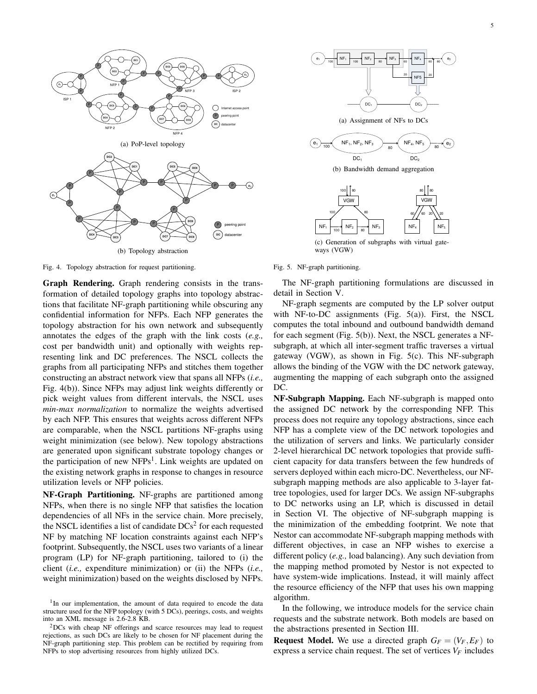

Fig. 4. Topology abstraction for request partitioning.

Graph Rendering. Graph rendering consists in the transformation of detailed topology graphs into topology abstractions that facilitate NF-graph partitioning while obscuring any confidential information for NFPs. Each NFP generates the topology abstraction for his own network and subsequently annotates the edges of the graph with the link costs (*e.g.,* cost per bandwidth unit) and optionally with weights representing link and DC preferences. The NSCL collects the graphs from all participating NFPs and stitches them together constructing an abstract network view that spans all NFPs (*i.e.,* Fig. 4(b)). Since NFPs may adjust link weights differently or pick weight values from different intervals, the NSCL uses *min-max normalization* to normalize the weights advertised by each NFP. This ensures that weights across different NFPs are comparable, when the NSCL partitions NF-graphs using weight minimization (see below). New topology abstractions are generated upon significant substrate topology changes or the participation of new NFPs<sup>1</sup>. Link weights are updated on the existing network graphs in response to changes in resource utilization levels or NFP policies.

NF-Graph Partitioning. NF-graphs are partitioned among NFPs, when there is no single NFP that satisfies the location dependencies of all NFs in the service chain. More precisely, the NSCL identifies a list of candidate  $DCs<sup>2</sup>$  for each requested NF by matching NF location constraints against each NFP's footprint. Subsequently, the NSCL uses two variants of a linear program (LP) for NF-graph partitioning, tailored to (i) the client (*i.e.,* expenditure minimization) or (ii) the NFPs (*i.e.,* weight minimization) based on the weights disclosed by NFPs.



(c) Generation of subgraphs with virtual gateways (VGW)

#### Fig. 5. NF-graph partitioning.

The NF-graph partitioning formulations are discussed in detail in Section V.

NF-graph segments are computed by the LP solver output with NF-to-DC assignments (Fig. 5(a)). First, the NSCL computes the total inbound and outbound bandwidth demand for each segment (Fig. 5(b)). Next, the NSCL generates a NFsubgraph, at which all inter-segment traffic traverses a virtual gateway (VGW), as shown in Fig. 5(c). This NF-subgraph allows the binding of the VGW with the DC network gateway, augmenting the mapping of each subgraph onto the assigned DC.

NF-Subgraph Mapping. Each NF-subgraph is mapped onto the assigned DC network by the corresponding NFP. This process does not require any topology abstractions, since each NFP has a complete view of the DC network topologies and the utilization of servers and links. We particularly consider 2-level hierarchical DC network topologies that provide sufficient capacity for data transfers between the few hundreds of servers deployed within each micro-DC. Nevertheless, our NFsubgraph mapping methods are also applicable to 3-layer fattree topologies, used for larger DCs. We assign NF-subgraphs to DC networks using an LP, which is discussed in detail in Section VI. The objective of NF-subgraph mapping is the minimization of the embedding footprint. We note that Nestor can accommodate NF-subgraph mapping methods with different objectives, in case an NFP wishes to exercise a different policy (*e.g.,* load balancing). Any such deviation from the mapping method promoted by Nestor is not expected to have system-wide implications. Instead, it will mainly affect the resource efficiency of the NFP that uses his own mapping algorithm.

In the following, we introduce models for the service chain requests and the substrate network. Both models are based on the abstractions presented in Section III.

**Request Model.** We use a directed graph  $G_F = (V_F, E_F)$  to express a service chain request. The set of vertices  $V_F$  includes

<sup>&</sup>lt;sup>1</sup>In our implementation, the amount of data required to encode the data structure used for the NFP topology (with 5 DCs), peerings, costs, and weights into an XML message is 2.6-2.8 KB.

 ${}^{2}$ DCs with cheap NF offerings and scarce resources may lead to request rejections, as such DCs are likely to be chosen for NF placement during the NF-graph partitioning step. This problem can be rectified by requiring from NFPs to stop advertising resources from highly utilized DCs.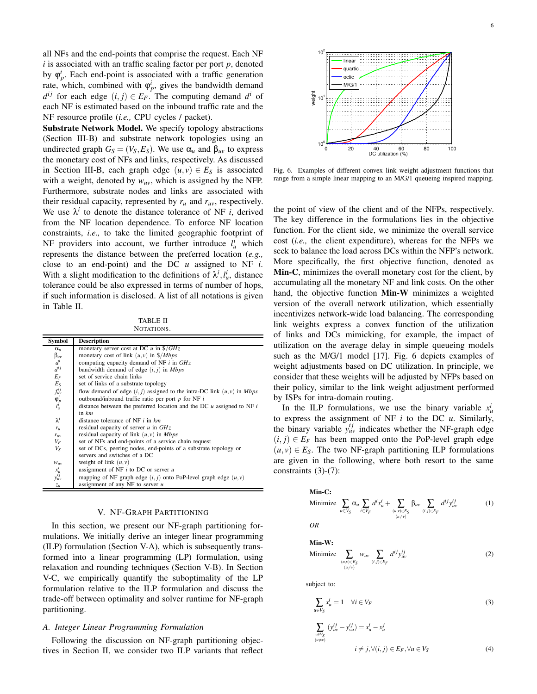all NFs and the end-points that comprise the request. Each NF *i* is associated with an traffic scaling factor per port *p*, denoted by  $\varphi_p^i$ . Each end-point is associated with a traffic generation rate, which, combined with  $\varphi_p^i$ , gives the bandwidth demand  $d^{ij}$  for each edge  $(i, j) \in E_F$ . The computing demand  $d^i$  of each NF is estimated based on the inbound traffic rate and the NF resource profile (*i.e.,* CPU cycles / packet).

Substrate Network Model. We specify topology abstractions (Section III-B) and substrate network topologies using an undirected graph *G*<sub>*S*</sub> = (*V*<sub>*S*</sub>, *E*<sub>*S*</sub>). We use α<sub>*u*</sub> and β<sub>*uv*</sub> to express the monetary cost of NFs and links, respectively. As discussed in Section III-B, each graph edge  $(u, v) \in E_S$  is associated with a weight, denoted by  $w_{uv}$ , which is assigned by the NFP. Furthermore, substrate nodes and links are associated with their residual capacity, represented by  $r_u$  and  $r_{uv}$ , respectively. We use  $\lambda^{i}$  to denote the distance tolerance of NF *i*, derived from the NF location dependence. To enforce NF location constraints, *i.e.,* to take the limited geographic footprint of NF providers into account, we further introduce  $l_u^i$  which represents the distance between the preferred location (*e.g.,* close to an end-point) and the DC *u* assigned to NF *i*. With a slight modification to the definitions of  $\lambda^i$ ,  $l^i_u$ , distance tolerance could be also expressed in terms of number of hops, if such information is disclosed. A list of all notations is given in Table II.

TABLE II NOTATIONS.

| Symbol                                                                 | <b>Description</b>                                                                 |
|------------------------------------------------------------------------|------------------------------------------------------------------------------------|
| $\alpha_{\mu}$                                                         | monetary server cost at DC u in $\frac{1}{2}GHZ$                                   |
| $\beta_{uv}$                                                           | monetary cost of link $(u, v)$ in \$/ <i>Mbps</i>                                  |
| $d^i$                                                                  | computing capacity demand of NF $i$ in $GHz$                                       |
| $d^{ij}$                                                               | bandwidth demand of edge $(i, j)$ in <i>Mbps</i>                                   |
| $E_F$                                                                  | set of service chain links                                                         |
|                                                                        | set of links of a substrate topology                                               |
| $\begin{array}{c} E_S\\ f_{uv}^{ij}\\ \varphi_p^i\\ l_u^i \end{array}$ | flow demand of edge $(i, j)$ assigned to the intra-DC link $(u, v)$ in <i>Mbps</i> |
|                                                                        | outbound/inbound traffic ratio per port $p$ for NF $i$                             |
|                                                                        | distance between the preferred location and the DC $u$ assigned to NF $i$          |
|                                                                        | $\mathbf{in}$ km                                                                   |
| $\lambda^i$                                                            | distance tolerance of NF $i$ in $km$                                               |
| $r_{\mu}$                                                              | residual capacity of server $u$ in $GHz$                                           |
| $r_{uv}$                                                               | residual capacity of link $(u, v)$ in <i>Mbps</i>                                  |
| $V_F$                                                                  | set of NFs and end-points of a service chain request                               |
| Vs                                                                     | set of DCs, peering nodes, end-points of a substrate topology or                   |
|                                                                        | servers and switches of a DC                                                       |
|                                                                        | weight of link $(u, v)$                                                            |
|                                                                        | assignment of NF $i$ to DC or server $u$                                           |
| $\begin{array}{c} w_{uv}\\ x_u^i\\ y_{uv}^{ij} \end{array}$            | mapping of NF graph edge $(i, j)$ onto PoP-level graph edge $(u, v)$               |
| $z_u$                                                                  | assignment of any NF to server $u$                                                 |

## V. NF-GRAPH PARTITIONING

In this section, we present our NF-graph partitioning formulations. We initially derive an integer linear programming (ILP) formulation (Section V-A), which is subsequently transformed into a linear programming (LP) formulation, using relaxation and rounding techniques (Section V-B). In Section V-C, we empirically quantify the suboptimality of the LP formulation relative to the ILP formulation and discuss the trade-off between optimality and solver runtime for NF-graph partitioning.

## *A. Integer Linear Programming Formulation*

Following the discussion on NF-graph partitioning objectives in Section II, we consider two ILP variants that reflect



Fig. 6. Examples of different convex link weight adjustment functions that range from a simple linear mapping to an M/G/1 queueing inspired mapping.

the point of view of the client and of the NFPs, respectively. The key difference in the formulations lies in the objective function. For the client side, we minimize the overall service cost (*i.e.,* the client expenditure), whereas for the NFPs we seek to balance the load across DCs within the NFP's network. More specifically, the first objective function, denoted as Min-C, minimizes the overall monetary cost for the client, by accumulating all the monetary NF and link costs. On the other hand, the objective function Min-W minimizes a weighted version of the overall network utilization, which essentially incentivizes network-wide load balancing. The corresponding link weights express a convex function of the utilization of links and DCs mimicking, for example, the impact of utilization on the average delay in simple queueing models such as the M/G/1 model [17]. Fig. 6 depicts examples of weight adjustments based on DC utilization. In principle, we consider that these weights will be adjusted by NFPs based on their policy, similar to the link weight adjustment performed by ISPs for intra-domain routing.

In the ILP formulations, we use the binary variable  $x^i_u$ to express the assignment of NF *i* to the DC *u*. Similarly, the binary variable  $y_{uv}^{ij}$  indicates whether the NF-graph edge  $(i, j) \in E_F$  has been mapped onto the PoP-level graph edge  $(u, v) \in E_S$ . The two NF-graph partitioning ILP formulations are given in the following, where both resort to the same constraints (3)-(7):

> Min-C: Minimize  $\sum_{u \in V_S} \alpha_u \sum_{i \in V_F}$  $d^i x^i_u + \sum_{\substack{(u,v)\in E_S\\ (u\neq v)}}$  $\beta_{uv}\sum_{(i,j)\in E_{\bar{F}}}$  $d^{ij}y_{\mu}^{ij}$ *uv* (1)

*OR*

**Min-W:**  
\n
$$
\sum_{\substack{(u,v)\in E_{\mathcal{S}}\\(u\neq v)}} w_{uv} \sum_{(i,j)\in E_{\mathcal{F}}} d^{ij} y_{uv}^{ij}
$$
\n(2)

subject to:

$$
\sum_{u \in V_S} x_u^i = 1 \quad \forall i \in V_F
$$
\n
$$
\sum_{\substack{v \in V_S \\ v \neq v_S}} (y_{uv}^i - y_{vu}^i) = x_u^i - x_u^j
$$
\n
$$
(3)
$$

$$
i \neq j, \forall (i, j) \in E_F, \forall u \in V_S
$$
\n
$$
(4)
$$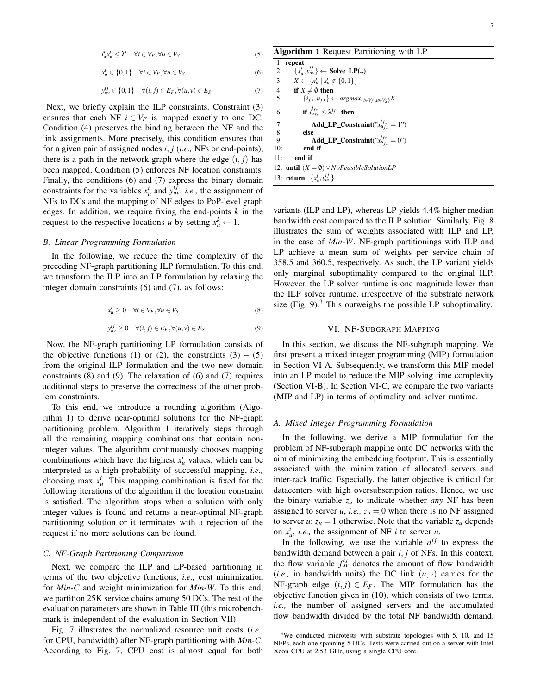$$
l_u^i x_u^i \le \lambda^i \quad \forall i \in V_F, \forall u \in V_S \tag{5}
$$

*x*<sup>*i*</sup><sub>*u*</sub> ∈ {0,1} ∀*i* ∈ *V<sub>F</sub>*,∀*u* ∈ *V<sub>S</sub>* (6)

$$
y_{uv}^{ij} \in \{0, 1\} \quad \forall (i, j) \in E_F, \forall (u, v) \in E_S \tag{7}
$$

Next, we briefly explain the ILP constraints. Constraint (3) ensures that each NF  $i \in V_F$  is mapped exactly to one DC. Condition (4) preserves the binding between the NF and the link assignments. More precisely, this condition ensures that for a given pair of assigned nodes *i*, *j* (*i.e.,* NFs or end-points), there is a path in the network graph where the edge  $(i, j)$  has been mapped. Condition (5) enforces NF location constraints. Finally, the conditions (6) and (7) express the binary domain constraints for the variables  $x_u^i$  and  $y_{uv}^{i,j}$ , *i.e.*, the assignment of NFs to DCs and the mapping of NF edges to PoP-level graph edges. In addition, we require fixing the end-points *k* in the request to the respective locations *u* by setting  $x_u^k \leftarrow 1$ .

#### *B. Linear Programming Formulation*

In the following, we reduce the time complexity of the preceding NF-graph partitioning ILP formulation. To this end, we transform the ILP into an LP formulation by relaxing the integer domain constraints (6) and (7), as follows:

$$
x_u^i \ge 0 \quad \forall i \in V_F, \forall u \in V_S \tag{8}
$$

$$
y_{uv}^{ij} \ge 0 \quad \forall (i,j) \in E_F, \forall (u,v) \in E_S \tag{9}
$$

Now, the NF-graph partitioning LP formulation consists of the objective functions (1) or (2), the constraints  $(3) - (5)$ from the original ILP formulation and the two new domain constraints (8) and (9). The relaxation of (6) and (7) requires additional steps to preserve the correctness of the other problem constraints.

To this end, we introduce a rounding algorithm (Algorithm 1) to derive near-optimal solutions for the NF-graph partitioning problem. Algorithm 1 iteratively steps through all the remaining mapping combinations that contain noninteger values. The algorithm continuously chooses mapping combinations which have the highest  $x^i_u$  values, which can be interpreted as a high probability of successful mapping, *i.e.,* choosing max  $x^i_\mu$ . This mapping combination is fixed for the following iterations of the algorithm if the location constraint is satisfied. The algorithm stops when a solution with only integer values is found and returns a near-optimal NF-graph partitioning solution or it terminates with a rejection of the request if no more solutions can be found.

## *C. NF-Graph Partitioning Comparison*

Next, we compare the ILP and LP-based partitioning in terms of the two objective functions, *i.e.,* cost minimization for *Min-C* and weight minimization for *Min-W*. To this end, we partition 25K service chains among 50 DCs. The rest of the evaluation parameters are shown in Table III (this microbenchmark is independent of the evaluation in Section VII).

Fig. 7 illustrates the normalized resource unit costs (*i.e.,* for CPU, bandwidth) after NF-graph partitioning with *Min-C*. According to Fig. 7, CPU cost is almost equal for both Algorithm 1 Request Partitioning with LP 1: repeat 2:  $\{x_u^i, y_{uv}^{ij}\} \leftarrow \textbf{Solve\_LP}(\ldots)$ 3:  $X \leftarrow \{x_u^i \mid x_u^i \notin \{0, 1\}\}\$ 4: if  $X \neq \emptyset$  then 5:  $\{i_f_x, u_f_x\} \leftarrow argmax_{\{i \in V_F, u \in V_S\}} X$ 6: if  $l_{u_{fx}}^{i_{fx}} \leq \lambda^{i_{fx}}$  then 7: **Add\_LP\_Constraint**( $x_{u_{fx}}^{i_{fx}} = 1$ ") 8: else 9: **Add\_LP\_Constraint**( $x_{u_{fx}}^{i_{fx}} = 0$ ") 10: end if 11: end if 12: until (*X* = 0/)∨*NoFeasibleSolutionLP* 13: **return**  $\{x_u^i, y_{uv}^{ij}\}$ 

variants (ILP and LP), whereas LP yields 4.4% higher median bandwidth cost compared to the ILP solution. Similarly, Fig. 8 illustrates the sum of weights associated with ILP and LP, in the case of *Min-W*. NF-graph partitionings with ILP and LP achieve a mean sum of weights per service chain of 358.5 and 360.5, respectively. As such, the LP variant yields only marginal suboptimality compared to the original ILP. However, the LP solver runtime is one magnitude lower than the ILP solver runtime, irrespective of the substrate network size (Fig. 9). $3$  This outweighs the possible LP suboptimality.

## VI. NF-SUBGRAPH MAPPING

In this section, we discuss the NF-subgraph mapping. We first present a mixed integer programming (MIP) formulation in Section VI-A. Subsequently, we transform this MIP model into an LP model to reduce the MIP solving time complexity (Section VI-B). In Section VI-C, we compare the two variants (MIP and LP) in terms of optimality and solver runtime.

## *A. Mixed Integer Programming Formulation*

In the following, we derive a MIP formulation for the problem of NF-subgraph mapping onto DC networks with the aim of minimizing the embedding footprint. This is essentially associated with the minimization of allocated servers and inter-rack traffic. Especially, the latter objective is critical for datacenters with high oversubscription ratios. Hence, we use the binary variable  $z_u$  to indicate whether *any* NF has been assigned to server *u*, *i.e.*,  $z_u = 0$  when there is no NF assigned to server *u*;  $z_u = 1$  otherwise. Note that the variable  $z_u$  depends on  $x_u^i$ , *i.e.*, the assignment of NF *i* to server *u*.

In the following, we use the variable  $d^{ij}$  to express the bandwidth demand between a pair *i*, *j* of NFs. In this context, the flow variable  $f_{uv}^{ij}$  denotes the amount of flow bandwidth  $(i.e.,$  in bandwidth units) the DC link  $(u, v)$  carries for the NF-graph edge  $(i, j) \in E_F$ . The MIP formulation has the objective function given in (10), which consists of two terms, *i.e.,* the number of assigned servers and the accumulated flow bandwidth divided by the total NF bandwidth demand.

<sup>&</sup>lt;sup>3</sup>We conducted microtests with substrate topologies with 5, 10, and 15 NFPs, each one spanning 5 DCs. Tests were carried out on a server with Intel Xeon CPU at 2.53 GHz,.using a single CPU core.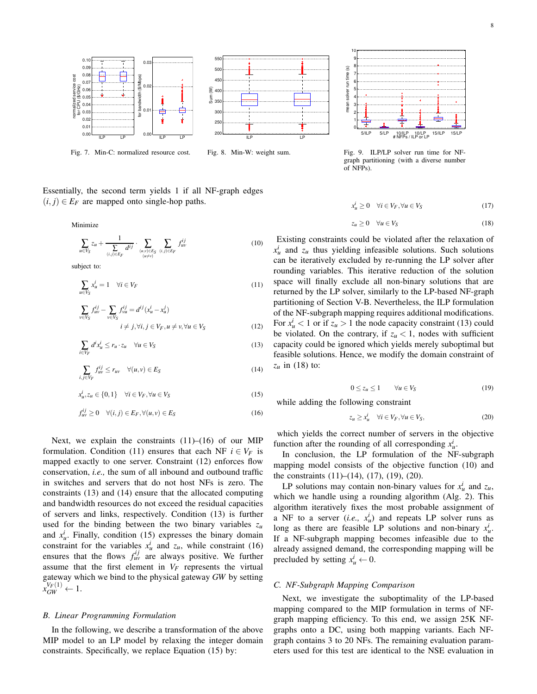

Fig. 7. Min-C: normalized resource cost.



Fig. 8. Min-W: weight sum.

55

Essentially, the second term yields 1 if all NF-graph edges  $(i, j) \in E_F$  are mapped onto single-hop paths.

Minimize

$$
\sum_{u \in V_S} z_u + \frac{1}{\sum_{(i,j) \in E_F} d^{ij}} \cdot \sum_{\substack{(u,v) \in E_S \\ (u \neq v)}} \sum_{(i,j) \in E_F} f_{uv}^{ij}
$$
(10)

subject to:

$$
\sum_{u \in V_S} x_u^i = 1 \quad \forall i \in V_F \tag{11}
$$

$$
\sum_{v \in V_S} f_{uv}^{ij} - \sum_{v \in V_S} f_{vu}^{ij} = d^{ij} (x_u^i - x_u^j)
$$
  
\n $i \neq j, \forall i, j \in V_F, u \neq v, \forall u \in V_S$  (12)

$$
\sum_{i \in V_F} d^i x_u^i \le r_u \cdot z_u \quad \forall u \in V_S \tag{13}
$$

$$
\sum_{i,j \in V_F} f_{uv}^{ij} \le r_{uv} \quad \forall (u,v) \in E_S \tag{14}
$$

$$
x_u^i, z_u \in \{0, 1\} \quad \forall i \in V_F, \forall u \in V_S \tag{15}
$$

$$
f_{uv}^{ij} \ge 0 \quad \forall (i, j) \in E_F, \forall (u, v) \in E_S \tag{16}
$$

Next, we explain the constraints  $(11)$ – $(16)$  of our MIP formulation. Condition (11) ensures that each NF  $i \in V_F$  is mapped exactly to one server. Constraint (12) enforces flow conservation, *i.e.,* the sum of all inbound and outbound traffic in switches and servers that do not host NFs is zero. The constraints (13) and (14) ensure that the allocated computing and bandwidth resources do not exceed the residual capacities of servers and links, respectively. Condition (13) is further used for the binding between the two binary variables  $z_u$ and  $x_u^i$ . Finally, condition (15) expresses the binary domain constraint for the variables  $x^i_u$  and  $z_u$ , while constraint (16) ensures that the flows  $f_{uv}^{ij}$  are always positive. We further assume that the first element in  $V_F$  represents the virtual gateway which we bind to the physical gateway *GW* by setting  $x_{GW}^{V_F(1)} \leftarrow 1.$ 

## *B. Linear Programming Formulation*

In the following, we describe a transformation of the above MIP model to an LP model by relaxing the integer domain constraints. Specifically, we replace Equation (15) by:



Fig. 9. ILP/LP solver run time for NFgraph partitioning (with a diverse number of NFPs).

 $x_u^i \ge 0 \quad \forall i \in V_F, \forall u \in V_S$  (17)

$$
z_u \ge 0 \quad \forall u \in V_S \tag{18}
$$

Existing constraints could be violated after the relaxation of  $x^i_u$  and  $z_u$  thus yielding infeasible solutions. Such solutions can be iteratively excluded by re-running the LP solver after rounding variables. This iterative reduction of the solution space will finally exclude all non-binary solutions that are returned by the LP solver, similarly to the LP-based NF-graph partitioning of Section V-B. Nevertheless, the ILP formulation of the NF-subgraph mapping requires additional modifications. For  $x_u^i$  < 1 or if  $z_u > 1$  the node capacity constraint (13) could be violated. On the contrary, if  $z_u < 1$ , nodes with sufficient capacity could be ignored which yields merely suboptimal but feasible solutions. Hence, we modify the domain constraint of *z<sup>u</sup>* in (18) to:

$$
0 \le z_u \le 1 \qquad \forall u \in V_S \tag{19}
$$

while adding the following constraint

$$
z_u \ge x_u^i \quad \forall i \in V_F, \forall u \in V_S,
$$
\n
$$
(20)
$$

which yields the correct number of servers in the objective function after the rounding of all corresponding  $x_u^i$ .

In conclusion, the LP formulation of the NF-subgraph mapping model consists of the objective function (10) and the constraints (11)–(14), (17), (19), (20).

LP solutions may contain non-binary values for  $x_u^i$  and  $z_u$ , which we handle using a rounding algorithm (Alg. 2). This algorithm iteratively fixes the most probable assignment of a NF to a server  $(i.e., x_u^i)$  and repeats LP solver runs as long as there are feasible LP solutions and non-binary  $x_u^i$ . If a NF-subgraph mapping becomes infeasible due to the already assigned demand, the corresponding mapping will be precluded by setting  $x_u^i \leftarrow 0$ .

#### *C. NF-Subgraph Mapping Comparison*

Next, we investigate the suboptimality of the LP-based mapping compared to the MIP formulation in terms of NFgraph mapping efficiency. To this end, we assign 25K NFgraphs onto a DC, using both mapping variants. Each NFgraph contains 3 to 20 NFs. The remaining evaluation parameters used for this test are identical to the NSE evaluation in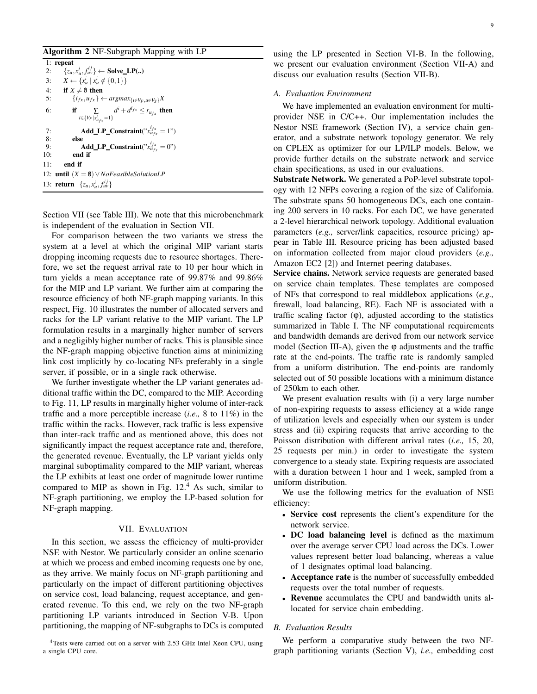| <b>Algorithm 2</b> NF-Subgraph Mapping with LP |                                                                                              |  |
|------------------------------------------------|----------------------------------------------------------------------------------------------|--|
|                                                | $1:$ repeat                                                                                  |  |
| 2:                                             | $\{z_u, x_u^i, f_w^{ij}\} \leftarrow$ Solve LP()                                             |  |
|                                                | 3: $X \leftarrow \{x_u^i \mid x_u^i \notin \{0,1\}\}\$                                       |  |
|                                                | 4: if $X \neq \emptyset$ then                                                                |  |
| 5:                                             | ${ifx, ufx} \leftarrow argmax_{i \in V_F, u \in V_S} X$                                      |  |
| 6:                                             | $\sum\limits_{i \in \{V_F   x^i_{u_{fx}} = 1\}} d^i + d^{i_{fx}} \leq r_{u_{fx}}$ then<br>if |  |
| 7:                                             | <b>Add_LP_Constraint</b> ( $"x_{u_{fx}}^{l_{fx}} = 1"$ )                                     |  |
| 8:                                             | else                                                                                         |  |
| 9:                                             | Add_LP_Constraint(" $x_{u_{f_v}}^{i_{f_x}} = 0$ ")                                           |  |
| 10:                                            | end if                                                                                       |  |
| 11:                                            | end if                                                                                       |  |
|                                                | 12: <b>until</b> $(X = \emptyset) \vee NoFeasibleSolutionLP$                                 |  |
|                                                | 13: <b>return</b> $\{z_u, x_u^i, f_{uv}^{ij}\}\$                                             |  |

Section VII (see Table III). We note that this microbenchmark is independent of the evaluation in Section VII.

For comparison between the two variants we stress the system at a level at which the original MIP variant starts dropping incoming requests due to resource shortages. Therefore, we set the request arrival rate to 10 per hour which in turn yields a mean acceptance rate of 99.87% and 99.86% for the MIP and LP variant. We further aim at comparing the resource efficiency of both NF-graph mapping variants. In this respect, Fig. 10 illustrates the number of allocated servers and racks for the LP variant relative to the MIP variant. The LP formulation results in a marginally higher number of servers and a negligibly higher number of racks. This is plausible since the NF-graph mapping objective function aims at minimizing link cost implicitly by co-locating NFs preferably in a single server, if possible, or in a single rack otherwise.

We further investigate whether the LP variant generates additional traffic within the DC, compared to the MIP. According to Fig. 11, LP results in marginally higher volume of inter-rack traffic and a more perceptible increase (*i.e.,* 8 to 11%) in the traffic within the racks. However, rack traffic is less expensive than inter-rack traffic and as mentioned above, this does not significantly impact the request acceptance rate and, therefore, the generated revenue. Eventually, the LP variant yields only marginal suboptimality compared to the MIP variant, whereas the LP exhibits at least one order of magnitude lower runtime compared to MIP as shown in Fig.  $12<sup>4</sup>$  As such, similar to NF-graph partitioning, we employ the LP-based solution for NF-graph mapping.

## VII. EVALUATION

In this section, we assess the efficiency of multi-provider NSE with Nestor. We particularly consider an online scenario at which we process and embed incoming requests one by one, as they arrive. We mainly focus on NF-graph partitioning and particularly on the impact of different partitioning objectives on service cost, load balancing, request acceptance, and generated revenue. To this end, we rely on the two NF-graph partitioning LP variants introduced in Section V-B. Upon partitioning, the mapping of NF-subgraphs to DCs is computed

using the LP presented in Section VI-B. In the following, we present our evaluation environment (Section VII-A) and discuss our evaluation results (Section VII-B).

#### *A. Evaluation Environment*

We have implemented an evaluation environment for multiprovider NSE in C/C++. Our implementation includes the Nestor NSE framework (Section IV), a service chain generator, and a substrate network topology generator. We rely on CPLEX as optimizer for our LP/ILP models. Below, we provide further details on the substrate network and service chain specifications, as used in our evaluations.

Substrate Network. We generated a PoP-level substrate topology with 12 NFPs covering a region of the size of California. The substrate spans 50 homogeneous DCs, each one containing 200 servers in 10 racks. For each DC, we have generated a 2-level hierarchical network topology. Additional evaluation parameters (*e.g.,* server/link capacities, resource pricing) appear in Table III. Resource pricing has been adjusted based on information collected from major cloud providers (*e.g.,* Amazon EC2 [2]) and Internet peering databases.

Service chains. Network service requests are generated based on service chain templates. These templates are composed of NFs that correspond to real middlebox applications (*e.g.,* firewall, load balancing, RE). Each NF is associated with a traffic scaling factor  $(\varphi)$ , adjusted according to the statistics summarized in Table I. The NF computational requirements and bandwidth demands are derived from our network service model (Section III-A), given the  $\varphi$  adjustments and the traffic rate at the end-points. The traffic rate is randomly sampled from a uniform distribution. The end-points are randomly selected out of 50 possible locations with a minimum distance of 250km to each other.

We present evaluation results with (i) a very large number of non-expiring requests to assess efficiency at a wide range of utilization levels and especially when our system is under stress and (ii) expiring requests that arrive according to the Poisson distribution with different arrival rates (*i.e.,* 15, 20, 25 requests per min.) in order to investigate the system convergence to a steady state. Expiring requests are associated with a duration between 1 hour and 1 week, sampled from a uniform distribution.

We use the following metrics for the evaluation of NSE efficiency:

- Service cost represents the client's expenditure for the network service.
- DC load balancing level is defined as the maximum over the average server CPU load across the DCs. Lower values represent better load balancing, whereas a value of 1 designates optimal load balancing.
- Acceptance rate is the number of successfully embedded requests over the total number of requests.
- Revenue accumulates the CPU and bandwidth units allocated for service chain embedding.

## *B. Evaluation Results*

We perform a comparative study between the two NFgraph partitioning variants (Section V), *i.e.,* embedding cost

<sup>&</sup>lt;sup>4</sup>Tests were carried out on a server with 2.53 GHz Intel Xeon CPU, using a single CPU core.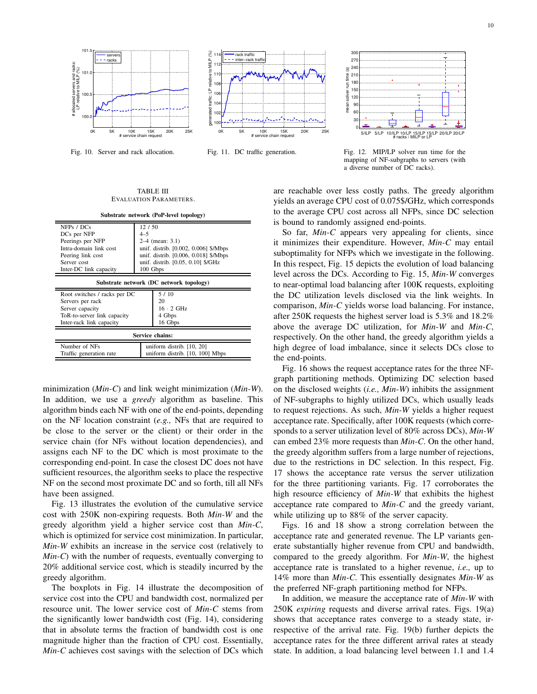

Fig. 10. Server and rack allocation.

Fig. 11. DC traffic generation.

TABLE III EVALUATION PARAMETERS.

Substrate network (PoP-level topology)

| NFPs / DCs                              | 12/50                                 |  |  |
|-----------------------------------------|---------------------------------------|--|--|
| DCs per NFP                             | $4 - 5$                               |  |  |
| Peerings per NFP                        | $2-4$ (mean: 3.1)                     |  |  |
| Intra-domain link cost                  | unif. distrib. [0.002, 0.006] \$/Mbps |  |  |
| Peering link cost                       | unif. distrib. [0.006, 0.018] \$/Mbps |  |  |
| Server cost                             | unif. distrib. [0.05, 0.10] \$/GHz    |  |  |
| Inter-DC link capacity                  | 100 Gbps                              |  |  |
| Substrate network (DC network topology) |                                       |  |  |
| Root switches / racks per DC            | 5/10                                  |  |  |
| Servers per rack                        | 20                                    |  |  |
| Server capacity                         | $16 \cdot 2$ GHz                      |  |  |
| ToR-to-server link capacity             | 4 Gbps                                |  |  |
| Inter-rack link capacity                | 16 Gbps                               |  |  |
| Service chains:                         |                                       |  |  |
| Number of NFs                           | uniform distrib. $[10, 20]$           |  |  |
| Traffic generation rate                 | uniform distrib. [10, 100] Mbps       |  |  |

minimization (*Min-C*) and link weight minimization (*Min-W*). In addition, we use a *greedy* algorithm as baseline. This algorithm binds each NF with one of the end-points, depending on the NF location constraint (*e.g.,* NFs that are required to be close to the server or the client) or their order in the service chain (for NFs without location dependencies), and assigns each NF to the DC which is most proximate to the corresponding end-point. In case the closest DC does not have sufficient resources, the algorithm seeks to place the respective NF on the second most proximate DC and so forth, till all NFs have been assigned.

Fig. 13 illustrates the evolution of the cumulative service cost with 250K non-expiring requests. Both *Min-W* and the greedy algorithm yield a higher service cost than *Min-C*, which is optimized for service cost minimization. In particular, *Min-W* exhibits an increase in the service cost (relatively to *Min-C*) with the number of requests, eventually converging to 20% additional service cost, which is steadily incurred by the greedy algorithm.

The boxplots in Fig. 14 illustrate the decomposition of service cost into the CPU and bandwidth cost, normalized per resource unit. The lower service cost of *Min-C* stems from the significantly lower bandwidth cost (Fig. 14), considering that in absolute terms the fraction of bandwidth cost is one magnitude higher than the fraction of CPU cost. Essentially, *Min-C* achieves cost savings with the selection of DCs which



Fig. 12. MIP/LP solver run time for the mapping of NF-subgraphs to servers (with a diverse number of DC racks).

are reachable over less costly paths. The greedy algorithm yields an average CPU cost of 0.075\$/GHz, which corresponds to the average CPU cost across all NFPs, since DC selection is bound to randomly assigned end-points.

So far, *Min-C* appears very appealing for clients, since it minimizes their expenditure. However, *Min-C* may entail suboptimality for NFPs which we investigate in the following. In this respect, Fig. 15 depicts the evolution of load balancing level across the DCs. According to Fig. 15, *Min-W* converges to near-optimal load balancing after 100K requests, exploiting the DC utilization levels disclosed via the link weights. In comparison, *Min-C* yields worse load balancing. For instance, after 250K requests the highest server load is 5.3% and 18.2% above the average DC utilization, for *Min-W* and *Min-C*, respectively. On the other hand, the greedy algorithm yields a high degree of load imbalance, since it selects DCs close to the end-points.

Fig. 16 shows the request acceptance rates for the three NFgraph partitioning methods. Optimizing DC selection based on the disclosed weights (*i.e., Min-W*) inhibits the assignment of NF-subgraphs to highly utilized DCs, which usually leads to request rejections. As such, *Min-W* yields a higher request acceptance rate. Specifically, after 100K requests (which corresponds to a server utilization level of 80% across DCs), *Min-W* can embed 23% more requests than *Min-C*. On the other hand, the greedy algorithm suffers from a large number of rejections, due to the restrictions in DC selection. In this respect, Fig. 17 shows the acceptance rate versus the server utilization for the three partitioning variants. Fig. 17 corroborates the high resource efficiency of *Min-W* that exhibits the highest acceptance rate compared to *Min-C* and the greedy variant, while utilizing up to 88% of the server capacity.

Figs. 16 and 18 show a strong correlation between the acceptance rate and generated revenue. The LP variants generate substantially higher revenue from CPU and bandwidth, compared to the greedy algorithm. For *Min-W*, the highest acceptance rate is translated to a higher revenue, *i.e.,* up to 14% more than *Min-C*. This essentially designates *Min-W* as the preferred NF-graph partitioning method for NFPs.

In addition, we measure the acceptance rate of *Min-W* with 250K *expiring* requests and diverse arrival rates. Figs. 19(a) shows that acceptance rates converge to a steady state, irrespective of the arrival rate. Fig. 19(b) further depicts the acceptance rates for the three different arrival rates at steady state. In addition, a load balancing level between 1.1 and 1.4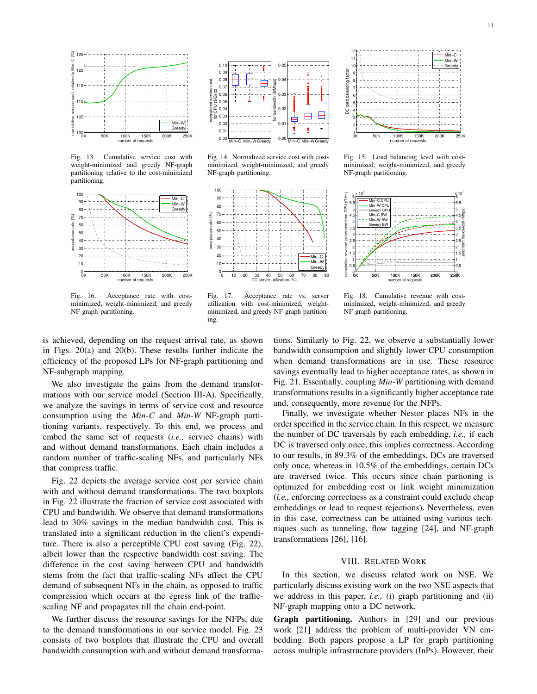

Fig. 13. Cumulative service cost with weight-minimized and greedy NF-graph partitioning relative to the cost-minimized partitioning.



Fig. 16. Acceptance rate with costminimized, weight-minimized, and greedy NF-graph partitioning.



Fig. 14. Normalized service cost with costminimized, weight-minimized, and greedy NF-graph partitioning.



Fig. 17. Acceptance rate vs. server utilization with cost-minimized, weightminimized, and greedy NF-graph partitioning.



Fig. 15. Load balancing level with costminimized, weight-minimized, and greedy NF-graph partitioning.



Fig. 18. Cumulative revenue with costminimized, weight-minimized, and greedy NF-graph partitioning.

is achieved, depending on the request arrival rate, as shown in Figs. 20(a) and 20(b). These results further indicate the efficiency of the proposed LPs for NF-graph partitioning and NF-subgraph mapping.

We also investigate the gains from the demand transformations with our service model (Section III-A). Specifically, we analyze the savings in terms of service cost and resource consumption using the *Min-C* and *Min-W* NF-graph partitioning variants, respectively. To this end, we process and embed the same set of requests (*i.e.,* service chains) with and without demand transformations. Each chain includes a random number of traffic-scaling NFs, and particularly NFs that compress traffic.

Fig. 22 depicts the average service cost per service chain with and without demand transformations. The two boxplots in Fig. 22 illustrate the fraction of service cost associated with CPU and bandwidth. We observe that demand transformations lead to 30% savings in the median bandwidth cost. This is translated into a significant reduction in the client's expenditure. There is also a perceptible CPU cost saving (Fig. 22), albeit lower than the respective bandwidth cost saving. The difference in the cost saving between CPU and bandwidth stems from the fact that traffic-scaling NFs affect the CPU demand of subsequent NFs in the chain, as opposed to traffic compression which occurs at the egress link of the trafficscaling NF and propagates till the chain end-point.

We further discuss the resource savings for the NFPs, due to the demand transformations in our service model. Fig. 23 consists of two boxplots that illustrate the CPU and overall bandwidth consumption with and without demand transformations. Similarly to Fig. 22, we observe a substantially lower bandwidth consumption and slightly lower CPU consumption when demand transformations are in use. These resource savings eventually lead to higher acceptance rates, as shown in Fig. 21. Essentially, coupling *Min-W* partitioning with demand transformations results in a significantly higher acceptance rate and, consequently, more revenue for the NFPs.

Finally, we investigate whether Nestor places NFs in the order specified in the service chain. In this respect, we measure the number of DC traversals by each embedding, *i.e.,* if each DC is traversed only once, this implies correctness. According to our results, in 89.3% of the embeddings, DCs are traversed only once, whereas in 10.5% of the embeddings, certain DCs are traversed twice. This occurs since chain partioning is optimized for embedding cost or link weight minimization (*i.e.,* enforcing correctness as a constraint could exclude cheap embeddings or lead to request rejections). Nevertheless, even in this case, correctness can be attained using various techniques such as tunneling, flow tagging [24], and NF-graph transformations [26], [16].

## VIII. RELATED WORK

In this section, we discuss related work on NSE. We particularly discuss existing work on the two NSE aspects that we address in this paper, *i.e.,* (i) graph partitioning and (ii) NF-graph mapping onto a DC network.

Graph partitioning. Authors in [29] and our previous work [21] address the problem of multi-provider VN embedding. Both papers propose a LP for graph partitioning across multiple infrastructure providers (InPs). However, their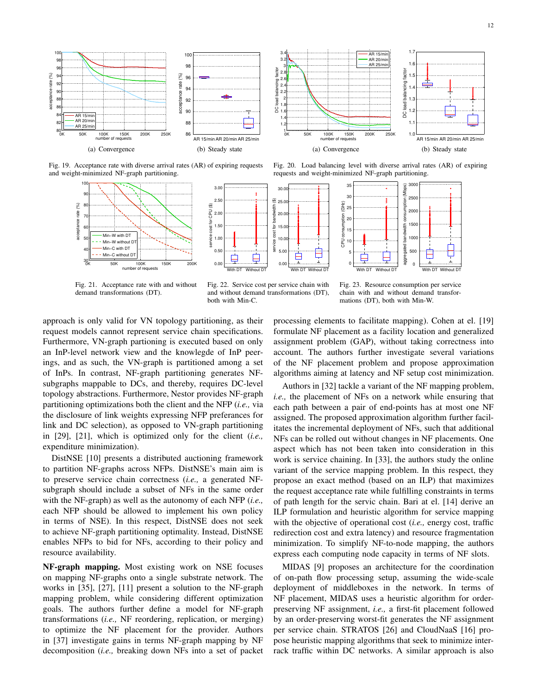

 $0.0$ 0.50 1.00 1.50 2.00 2.50  $3.00$ 

service cost for CPU (\$)

cost for

ice

5

**D** 

Fig. 19. Acceptance rate with diverse arrival rates (AR) of expiring requests and weight-minimized NF-graph partitioning.



Fig. 21. Acceptance rate with and without demand transformations (DT).



 $0.0$ 5.00 10.00 15.0 20.00 25.00  $30.$ 

With DT Without DT

 0 5

service cost for bandwidth (\$)

ser

for ba

 $\widehat{\boldsymbol{\theta}}$ 

thaid

With DT Without DT

Fig. 23. Resource consumption per service chain with and without demand transformations (DT), both with Min-W.

 0 50

With DT Without DT

approach is only valid for VN topology partitioning, as their request models cannot represent service chain specifications. Furthermore, VN-graph partioning is executed based on only an InP-level network view and the knowlegde of InP peerings, and as such, the VN-graph is partitioned among a set of InPs. In contrast, NF-graph partitioning generates NFsubgraphs mappable to DCs, and thereby, requires DC-level topology abstractions. Furthermore, Nestor provides NF-graph partitioning optimizations both the client and the NFP (*i.e.,* via the disclosure of link weights expressing NFP preferances for link and DC selection), as opposed to VN-graph partitioning in [29], [21], which is optimized only for the client (*i.e.,* expenditure minimization).

DistNSE [10] presents a distributed auctioning framework to partition NF-graphs across NFPs. DistNSE's main aim is to preserve service chain correctness (*i.e.,* a generated NFsubgraph should include a subset of NFs in the same order with the NF-graph) as well as the autonomy of each NFP (*i.e.,* each NFP should be allowed to implement his own policy in terms of NSE). In this respect, DistNSE does not seek to achieve NF-graph partitioning optimality. Instead, DistNSE enables NFPs to bid for NFs, according to their policy and resource availability.

NF-graph mapping. Most existing work on NSE focuses on mapping NF-graphs onto a single substrate network. The works in [35], [27], [11] present a solution to the NF-graph mapping problem, while considering different optimization goals. The authors further define a model for NF-graph transformations (*i.e.,* NF reordering, replication, or merging) to optimize the NF placement for the provider. Authors in [37] investigate gains in terms NF-graph mapping by NF decomposition (*i.e.,* breaking down NFs into a set of packet

processing elements to facilitate mapping). Cohen at el. [19] formulate NF placement as a facility location and generalized assignment problem (GAP), without taking correctness into account. The authors further investigate several variations of the NF placement problem and propose approximation algorithms aiming at latency and NF setup cost minimization.

With DT Without DT

Authors in [32] tackle a variant of the NF mapping problem, *i.e.,* the placement of NFs on a network while ensuring that each path between a pair of end-points has at most one NF assigned. The proposed approximation algorithm further facilitates the incremental deployment of NFs, such that additional NFs can be rolled out without changes in NF placements. One aspect which has not been taken into consideration in this work is service chaining. In [33], the authors study the online variant of the service mapping problem. In this respect, they propose an exact method (based on an ILP) that maximizes the request acceptance rate while fulfilling constraints in terms of path length for the servic chain. Bari at el. [14] derive an ILP formulation and heuristic algorithm for service mapping with the objective of operational cost (*i.e.,* energy cost, traffic redirection cost and extra latency) and resource fragmentation minimization. To simplify NF-to-node mapping, the authors express each computing node capacity in terms of NF slots.

MIDAS [9] proposes an architecture for the coordination of on-path flow processing setup, assuming the wide-scale deployment of middleboxes in the network. In terms of NF placement, MIDAS uses a heuristic algorithm for orderpreserving NF assignment, *i.e.,* a first-fit placement followed by an order-preserving worst-fit generates the NF assignment per service chain. STRATOS [26] and CloudNaaS [16] propose heuristic mapping algorithms that seek to minimize interrack traffic within DC networks. A similar approach is also



Fig. 20. Load balancing level with diverse arrival rates (AR) of expiring requests and weight-minimized NF-graph partitioning.

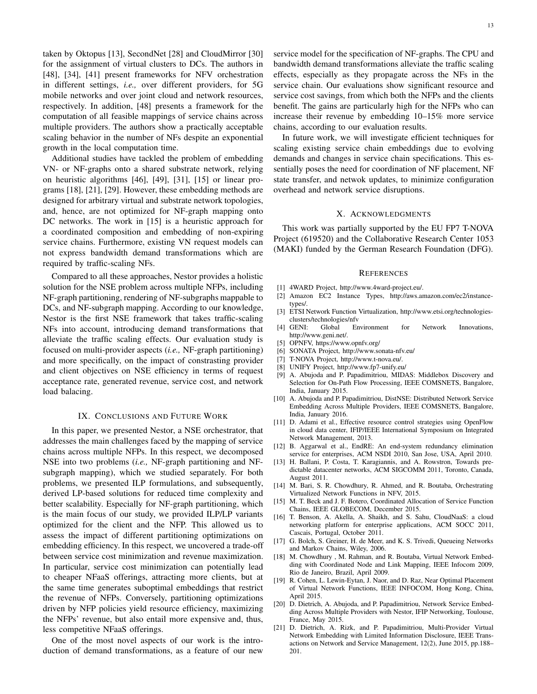taken by Oktopus [13], SecondNet [28] and CloudMirror [30] for the assignment of virtual clusters to DCs. The authors in [48], [34], [41] present frameworks for NFV orchestration in different settings, *i.e.,* over different providers, for 5G mobile networks and over joint cloud and network resources, respectively. In addition, [48] presents a framework for the computation of all feasible mappings of service chains across multiple providers. The authors show a practically acceptable scaling behavior in the number of NFs despite an exponential growth in the local computation time.

Additional studies have tackled the problem of embedding VN- or NF-graphs onto a shared substrate network, relying on heuristic algorithms [46], [49], [31], [15] or linear programs [18], [21], [29]. However, these embedding methods are designed for arbitrary virtual and substrate network topologies, and, hence, are not optimized for NF-graph mapping onto DC networks. The work in [15] is a heuristic approach for a coordinated composition and embedding of non-expiring service chains. Furthermore, existing VN request models can not express bandwidth demand transformations which are required by traffic-scaling NFs.

Compared to all these approaches, Nestor provides a holistic solution for the NSE problem across multiple NFPs, including NF-graph partitioning, rendering of NF-subgraphs mappable to DCs, and NF-subgraph mapping. According to our knowledge, Nestor is the first NSE framework that takes traffic-scaling NFs into account, introducing demand transformations that alleviate the traffic scaling effects. Our evaluation study is focused on multi-provider aspects (*i.e.,* NF-graph partitioning) and more specifically, on the impact of constrasting provider and client objectives on NSE efficiency in terms of request acceptance rate, generated revenue, service cost, and network load balacing.

#### IX. CONCLUSIONS AND FUTURE WORK

In this paper, we presented Nestor, a NSE orchestrator, that addresses the main challenges faced by the mapping of service chains across multiple NFPs. In this respect, we decomposed NSE into two problems (*i.e.,* NF-graph partitioning and NFsubgraph mapping), which we studied separately. For both problems, we presented ILP formulations, and subsequently, derived LP-based solutions for reduced time complexity and better scalability. Especially for NF-graph partitioning, which is the main focus of our study, we provided ILP/LP variants optimized for the client and the NFP. This allowed us to assess the impact of different partitioning optimizations on embedding efficiency. In this respect, we uncovered a trade-off between service cost minimization and revenue maximization. In particular, service cost minimization can potentially lead to cheaper NFaaS offerings, attracting more clients, but at the same time generates suboptimal embeddings that restrict the revenue of NFPs. Conversely, partitioning optimizations driven by NFP policies yield resource efficiency, maximizing the NFPs' revenue, but also entail more expensive and, thus, less competitive NFaaS offerings.

One of the most novel aspects of our work is the introduction of demand transformations, as a feature of our new service model for the specification of NF-graphs. The CPU and bandwidth demand transformations alleviate the traffic scaling effects, especially as they propagate across the NFs in the service chain. Our evaluations show significant resource and service cost savings, from which both the NFPs and the clients benefit. The gains are particularly high for the NFPs who can increase their revenue by embedding 10–15% more service chains, according to our evaluation results.

In future work, we will investigate efficient techniques for scaling existing service chain embeddings due to evolving demands and changes in service chain specifications. This essentially poses the need for coordination of NF placement, NF state transfer, and netwok updates, to minimize configuration overhead and network service disruptions.

## X. ACKNOWLEDGMENTS

This work was partially supported by the EU FP7 T-NOVA Project (619520) and the Collaborative Research Center 1053 (MAKI) funded by the German Research Foundation (DFG).

#### **REFERENCES**

- [1] 4WARD Project, http://www.4ward-project.eu/.
- [2] Amazon EC2 Instance Types, http://aws.amazon.com/ec2/instancetypes/.
- [3] ETSI Network Function Virtualization, http://www.etsi.org/technologiesclusters/technologies/nfv
- [4] GENI: Global Environment for Network Innovations, http://www.geni.net/.
- [5] OPNFV, https://www.opnfv.org/
- [6] SONATA Project, http://www.sonata-nfv.eu/
- [7] T-NOVA Project, http://www.t-nova.eu/.
- [8] UNIFY Project, http://www.fp7-unify.eu/
- [9] A. Abujoda and P. Papadimitriou, MIDAS: Middlebox Discovery and Selection for On-Path Flow Processing, IEEE COMSNETS, Bangalore, India, January 2015.
- [10] A. Abujoda and P. Papadimitriou, DistNSE: Distributed Network Service Embedding Across Multiple Providers, IEEE COMSNETS, Bangalore, India, January 2016.
- [11] D. Adami et al., Effective resource control strategies using OpenFlow in cloud data center, IFIP/IEEE International Symposium on Integrated Network Management, 2013.
- [12] B. Aggarwal et al., EndRE: An end-system redundancy elimination service for enterprises, ACM NSDI 2010, San Jose, USA, April 2010.
- [13] H. Ballani, P. Costa, T. Karagiannis, and A. Rowstron, Towards predictable datacenter networks, ACM SIGCOMM 2011, Toronto, Canada, August 2011.
- [14] M. Bari, S. R. Chowdhury, R. Ahmed, and R. Boutaba, Orchestrating Virtualized Network Functions in NFV, 2015.
- [15] M. T. Beck and J. F. Botero, Coordinated Allocation of Service Function Chains, IEEE GLOBECOM, December 2015.
- [16] T. Benson, A. Akella, A. Shaikh, and S. Sahu, CloudNaaS: a cloud networking platform for enterprise applications, ACM SOCC 2011, Cascais, Portugal, October 2011.
- [17] G. Bolch, S. Greiner, H. de Meer, and K. S. Trivedi, Queueing Networks and Markov Chains, Wiley, 2006.
- [18] M. Chowdhury, M. Rahman, and R. Boutaba, Virtual Network Embedding with Coordinated Node and Link Mapping, IEEE Infocom 2009, Rio de Janeiro, Brazil, April 2009.
- [19] R. Cohen, L. Lewin-Eytan, J. Naor, and D. Raz, Near Optimal Placement of Virtual Network Functions, IEEE INFOCOM, Hong Kong, China, April 2015.
- [20] D. Dietrich, A. Abujoda, and P. Papadimitriou, Network Service Embedding Across Multiple Providers with Nestor, IFIP Networking, Toulouse, France, May 2015.
- [21] D. Dietrich, A. Rizk, and P. Papadimitriou, Multi-Provider Virtual Network Embedding with Limited Information Disclosure, IEEE Transactions on Network and Service Management, 12(2), June 2015, pp.188– 201.